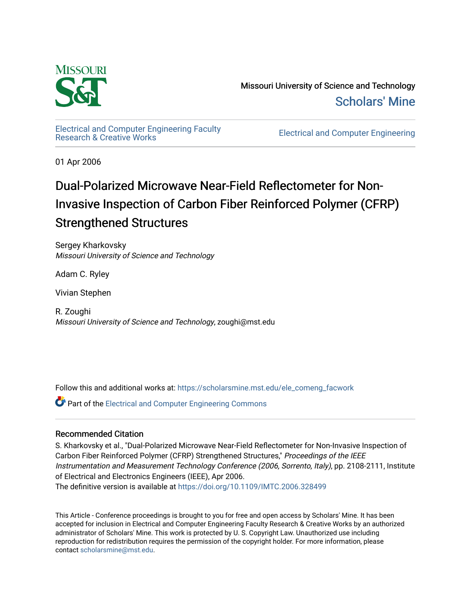

Missouri University of Science and Technology [Scholars' Mine](https://scholarsmine.mst.edu/) 

[Electrical and Computer Engineering Faculty](https://scholarsmine.mst.edu/ele_comeng_facwork)

**Electrical and Computer Engineering** 

01 Apr 2006

# Dual-Polarized Microwave Near-Field Reflectometer for Non-Invasive Inspection of Carbon Fiber Reinforced Polymer (CFRP) Strengthened Structures

Sergey Kharkovsky Missouri University of Science and Technology

Adam C. Ryley

Vivian Stephen

R. Zoughi Missouri University of Science and Technology, zoughi@mst.edu

Follow this and additional works at: [https://scholarsmine.mst.edu/ele\\_comeng\\_facwork](https://scholarsmine.mst.edu/ele_comeng_facwork?utm_source=scholarsmine.mst.edu%2Fele_comeng_facwork%2F1560&utm_medium=PDF&utm_campaign=PDFCoverPages)

Part of the [Electrical and Computer Engineering Commons](http://network.bepress.com/hgg/discipline/266?utm_source=scholarsmine.mst.edu%2Fele_comeng_facwork%2F1560&utm_medium=PDF&utm_campaign=PDFCoverPages) 

# Recommended Citation

S. Kharkovsky et al., "Dual-Polarized Microwave Near-Field Reflectometer for Non-Invasive Inspection of Carbon Fiber Reinforced Polymer (CFRP) Strengthened Structures," Proceedings of the IEEE Instrumentation and Measurement Technology Conference (2006, Sorrento, Italy), pp. 2108-2111, Institute of Electrical and Electronics Engineers (IEEE), Apr 2006.

The definitive version is available at <https://doi.org/10.1109/IMTC.2006.328499>

This Article - Conference proceedings is brought to you for free and open access by Scholars' Mine. It has been accepted for inclusion in Electrical and Computer Engineering Faculty Research & Creative Works by an authorized administrator of Scholars' Mine. This work is protected by U. S. Copyright Law. Unauthorized use including reproduction for redistribution requires the permission of the copyright holder. For more information, please contact [scholarsmine@mst.edu](mailto:scholarsmine@mst.edu).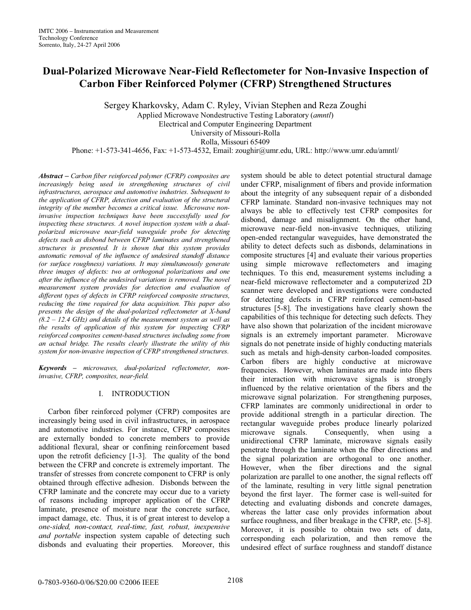# **Dual-Polarized Microwave Near-Field Reflectometer for Non-Invasive Inspection of Carbon Fiber Reinforced Polymer (CFRP) Strengthened Structures**

Sergey Kharkovsky, Adam C. Ryley, Vivian Stephen and Reza Zoughi Applied Microwave Nondestructive Testing Laboratory (*amntl*)

Electrical and Computer Engineering Department

University of Missouri-Rolla Rolla, Missouri 65409

Phone: +1-573-341-4656, Fax: +1-573-4532, Email: zoughir@umr.edu, URL: http://www.umr.edu/amntl/

*Abstract – Carbon fiber reinforced polymer (CFRP) composites are increasingly being used in strengthening structures of civil infrastructures, aerospace and automotive industries. Subsequent to the application of CFRP, detection and evaluation of the structural integrity of the member becomes a critical issue. Microwave noninvasive inspection techniques have been successfully used for inspecting these structures. A novel inspection system with a dualpolarized microwave near-field waveguide probe for detecting defects such as disbond between CFRP laminates and strengthened structures is presented. It is shown that this system provides automatic removal of the influence of undesired standoff distance (or surface roughness) variations. It may simultaneously generate three images of defects: two at orthogonal polarizations and one after the influence of the undesired variations is removed. The novel measurement system provides for detection and evaluation of different types of defects in CFRP reinforced composite structures, reducing the time required for data acquisition. This paper also presents the design of the dual-polarized reflectometer at X-band (8.2 – 12.4 GHz) and details of the measurement system as well as the results of application of this system for inspecting CFRP reinforced composites cement-based structures including some from an actual bridge. The results clearly illustrate the utility of this system for non-invasive inspection of CFRP strengthened structures.* 

*Keywords – microwaves, dual-polarized reflectometer, noninvasive, CFRP, composites, near-field.* 

# I. INTRODUCTION

Carbon fiber reinforced polymer (CFRP) composites are increasingly being used in civil infrastructures, in aerospace and automotive industries. For instance, CFRP composites are externally bonded to concrete members to provide additional flexural, shear or confining reinforcement based upon the retrofit deficiency [1-3]. The quality of the bond between the CFRP and concrete is extremely important. The transfer of stresses from concrete component to CFRP is only obtained through effective adhesion. Disbonds between the CFRP laminate and the concrete may occur due to a variety of reasons including improper application of the CFRP laminate, presence of moisture near the concrete surface, impact damage, etc. Thus, it is of great interest to develop a *one-sided, non-contact, real-time, fast, robust, inexpensive and portable* inspection system capable of detecting such disbonds and evaluating their properties. Moreover, this system should be able to detect potential structural damage under CFRP, misalignment of fibers and provide information about the integrity of any subsequent repair of a disbonded CFRP laminate. Standard non-invasive techniques may not always be able to effectively test CFRP composites for disbond, damage and misalignment. On the other hand, microwave near-field non-invasive techniques, utilizing open-ended rectangular waveguides, have demonstrated the ability to detect defects such as disbonds, delaminations in composite structures [4] and evaluate their various properties using simple microwave reflectometers and imaging techniques. To this end, measurement systems including a near-field microwave reflectometer and a computerized 2D scanner were developed and investigations were conducted for detecting defects in CFRP reinforced cement-based structures [5-8]. The investigations have clearly shown the capabilities of this technique for detecting such defects. They have also shown that polarization of the incident microwave signals is an extremely important parameter. Microwave signals do not penetrate inside of highly conducting materials such as metals and high-density carbon-loaded composites. Carbon fibers are highly conductive at microwave frequencies. However, when laminates are made into fibers their interaction with microwave signals is strongly influenced by the relative orientation of the fibers and the microwave signal polarization. For strengthening purposes, CFRP laminates are commonly unidirectional in order to provide additional strength in a particular direction. The rectangular waveguide probes produce linearly polarized microwave signals. Consequently, when using a unidirectional CFRP laminate, microwave signals easily penetrate through the laminate when the fiber directions and the signal polarization are orthogonal to one another. However, when the fiber directions and the signal polarization are parallel to one another, the signal reflects off of the laminate, resulting in very little signal penetration beyond the first layer. The former case is well-suited for detecting and evaluating disbonds and concrete damages, whereas the latter case only provides information about surface roughness, and fiber breakage in the CFRP, etc. [5-8]. Moreover, it is possible to obtain two sets of data, corresponding each polarization, and then remove the undesired effect of surface roughness and standoff distance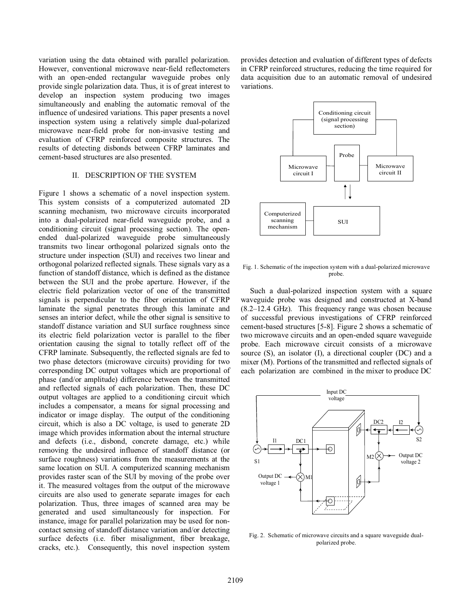variation using the data obtained with parallel polarization. However, conventional microwave near-field reflectometers with an open-ended rectangular waveguide probes only provide single polarization data. Thus, it is of great interest to develop an inspection system producing two images simultaneously and enabling the automatic removal of the influence of undesired variations. This paper presents a novel inspection system using a relatively simple dual-polarized microwave near-field probe for non-invasive testing and evaluation of CFRP reinforced composite structures. The results of detecting disbonds between CFRP laminates and cement-based structures are also presented.

#### II. DESCRIPTION OF THE SYSTEM

Figure 1 shows a schematic of a novel inspection system. This system consists of a computerized automated 2D scanning mechanism, two microwave circuits incorporated into a dual-polarized near-field waveguide probe, and a conditioning circuit (signal processing section). The openended dual-polarized waveguide probe simultaneously transmits two linear orthogonal polarized signals onto the structure under inspection (SUI) and receives two linear and orthogonal polarized reflected signals. These signals vary as a function of standoff distance, which is defined as the distance between the SUI and the probe aperture. However, if the electric field polarization vector of one of the transmitted signals is perpendicular to the fiber orientation of CFRP laminate the signal penetrates through this laminate and senses an interior defect, while the other signal is sensitive to standoff distance variation and SUI surface roughness since its electric field polarization vector is parallel to the fiber orientation causing the signal to totally reflect off of the CFRP laminate. Subsequently, the reflected signals are fed to two phase detectors (microwave circuits) providing for two corresponding DC output voltages which are proportional of phase (and/or amplitude) difference between the transmitted and reflected signals of each polarization. Then, these DC output voltages are applied to a conditioning circuit which includes a compensator, a means for signal processing and indicator or image display. The output of the conditioning circuit, which is also a DC voltage, is used to generate 2D image which provides information about the internal structure and defects (i.e., disbond, concrete damage, etc.) while removing the undesired influence of standoff distance (or surface roughness) variations from the measurements at the same location on SUI. A computerized scanning mechanism provides raster scan of the SUI by moving of the probe over it. The measured voltages from the output of the microwave circuits are also used to generate separate images for each polarization. Thus, three images of scanned area may be generated and used simultaneously for inspection. For instance, image for parallel polarization may be used for noncontact sensing of standoff distance variation and/or detecting surface defects (i.e. fiber misalignment, fiber breakage, cracks, etc.). Consequently, this novel inspection system provides detection and evaluation of different types of defects in CFRP reinforced structures, reducing the time required for data acquisition due to an automatic removal of undesired variations.



### Fig. 1. Schematic of the inspection system with a dual-polarized microwave probe.

Such a dual-polarized inspection system with a square waveguide probe was designed and constructed at X-band (8.2–12.4 GHz). This frequency range was chosen because of successful previous investigations of CFRP reinforced cement-based structures [5-8]. Figure 2 shows a schematic of two microwave circuits and an open-ended square waveguide probe. Each microwave circuit consists of a microwave source (S), an isolator (I), a directional coupler (DC) and a mixer (M). Portions of the transmitted and reflected signals of each polarization are combined in the mixer to produce DC



Fig. 2. Schematic of microwave circuits and a square waveguide dualpolarized probe.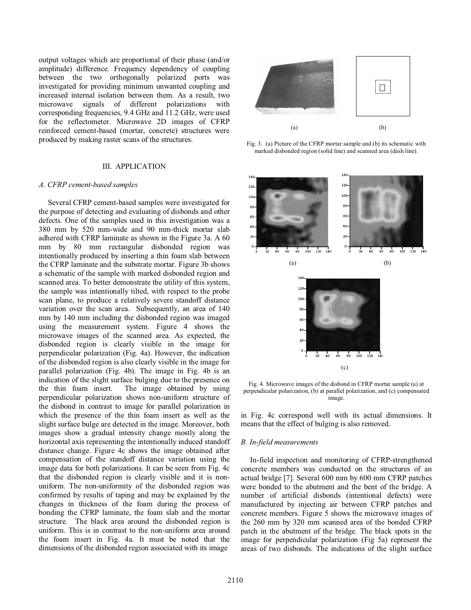output voltages which are proportional of their phase (and/or amplitude) difference. Frequency dependency of coupling between the two orthogonally polarized ports was investigated for providing minimum unwanted coupling and increased internal isolation between them. As a result, two microwave signals of different polarizations with corresponding frequencies, 9.4 GHz and 11.2 GHz, were used for the reflectometer. Microwave 2D images of CFRP reinforced cement-based (mortar, concrete) structures were produced by making raster scans of the structures.

#### III. APPLICATION

#### *A. CFRP cement-based samples*

Several CFRP cement-based samples were investigated for the purpose of detecting and evaluating of disbonds and other defects. One of the samples used in this investigation was a 380 mm by 520 mm-wide and 90 mm-thick mortar slab adhered with CFRP laminate as shown in the Figure 3a. A 60 mm by 80 mm rectangular disbonded region was intentionally produced by inserting a thin foam slab between the CFRP laminate and the substrate mortar. Figure 3b shows a schematic of the sample with marked disbonded region and scanned area. To better demonstrate the utility of this system, the sample was intentionally tilted, with respect to the probe scan plane, to produce a relatively severe standoff distance variation over the scan area. Subsequently, an area of 140 mm by 140 mm including the disbonded region was imaged using the measurement system. Figure 4 shows the microwave images of the scanned area. As expected, the disbonded region is clearly visible in the image for perpendicular polarization (Fig. 4a). However, the indication of the disbonded region is also clearly visible in the image for parallel polarization (Fig. 4b). The image in Fig. 4b is an indication of the slight surface bulging due to the presence on the thin foam insert. The image obtained by using perpendicular polarization shows non-uniform structure of the disbond in contrast to image for parallel polarization in which the presence of the thin foam insert as well as the slight surface bulge are detected in the image. Moreover, both images show a gradual intensity change mostly along the horizontal axis representing the intentionally induced standoff distance change. Figure 4c shows the image obtained after compensation of the standoff distance variation using the image data for both polarizations. It can be seen from Fig. 4c that the disbonded region is clearly visible and it is nonuniform. The non-uniformity of the disbonded region was confirmed by results of taping and may be explained by the changes in thickness of the foam during the process of bonding the CFRP laminate, the foam slab and the mortar structure. The black area around the disbonded region is uniform. This is in contrast to the non-uniform area around the foam insert in Fig. 4a. It must be noted that the dimensions of the disbonded region associated with its image







Fig. 4. Microwave images of the disbond in CFRP mortar sample (a) at perpendicular polarization, (b) at parallel polarization, and (c) compensated image.

in Fig. 4c correspond well with its actual dimensions. It means that the effect of bulging is also removed.

#### *B. In-field measurements*

In-field inspection and monitoring of CFRP-strengthened concrete members was conducted on the structures of an actual bridge [7]. Several 600 mm by 600 mm CFRP patches were bonded to the abutment and the bent of the bridge. A number of artificial disbonds (intentional defects) were manufactured by injecting air between CFRP patches and concrete members. Figure 5 shows the microwave images of the 260 mm by 320 mm scanned area of the bonded CFRP patch in the abutment of the bridge. The black spots in the image for perpendicular polarization (Fig 5a) represent the areas of two disbonds. The indications of the slight surface